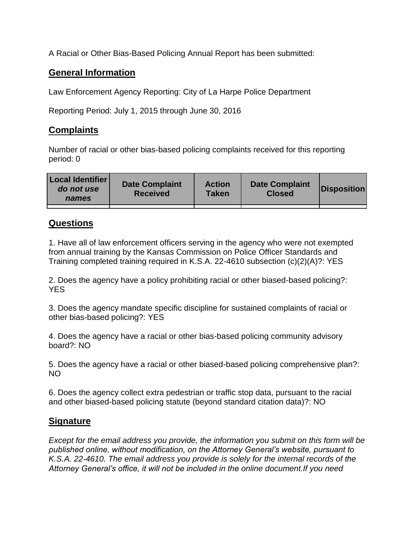A Racial or Other Bias-Based Policing Annual Report has been submitted:

## **General Information**

Law Enforcement Agency Reporting: City of La Harpe Police Department

Reporting Period: July 1, 2015 through June 30, 2016

## **Complaints**

Number of racial or other bias-based policing complaints received for this reporting period: 0

| <b>Local Identifier</b><br>do not use<br>names | <b>Date Complaint</b><br><b>Received</b> | <b>Action</b><br><b>Taken</b> | <b>Date Complaint</b><br><b>Closed</b> | Disposition |
|------------------------------------------------|------------------------------------------|-------------------------------|----------------------------------------|-------------|
|                                                |                                          |                               |                                        |             |

## **Questions**

1. Have all of law enforcement officers serving in the agency who were not exempted from annual training by the Kansas Commission on Police Officer Standards and Training completed training required in K.S.A. 22-4610 subsection (c)(2)(A)?: YES

2. Does the agency have a policy prohibiting racial or other biased-based policing?: YES

3. Does the agency mandate specific discipline for sustained complaints of racial or other bias-based policing?: YES

4. Does the agency have a racial or other bias-based policing community advisory board?: NO

5. Does the agency have a racial or other biased-based policing comprehensive plan?: NO

6. Does the agency collect extra pedestrian or traffic stop data, pursuant to the racial and other biased-based policing statute (beyond standard citation data)?: NO

## **Signature**

*Except for the email address you provide, the information you submit on this form will be published online, without modification, on the Attorney General's website, pursuant to K.S.A. 22-4610. The email address you provide is solely for the internal records of the Attorney General's office, it will not be included in the online document.If you need*